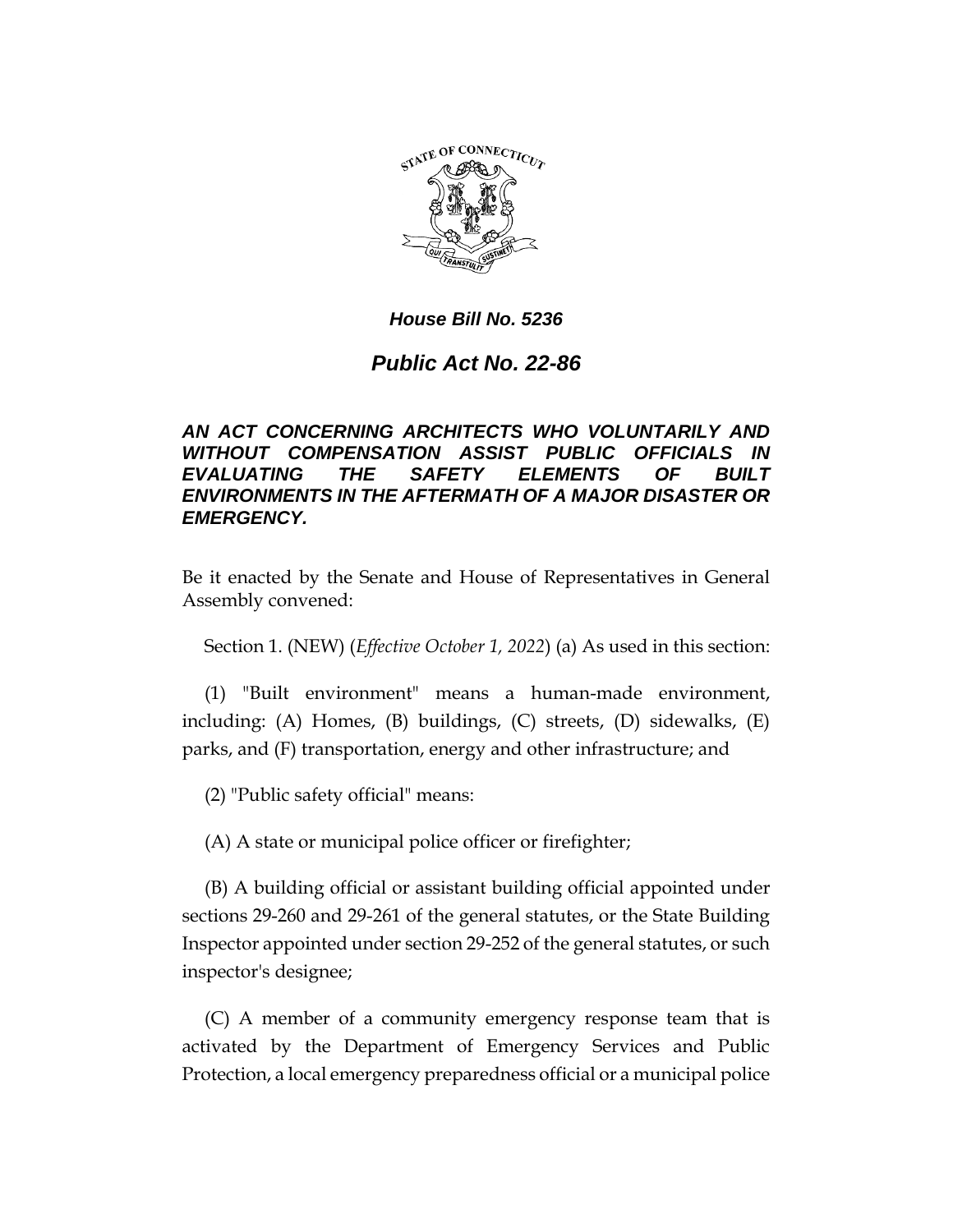

## *House Bill No. 5236*

## *Public Act No. 22-86*

## *AN ACT CONCERNING ARCHITECTS WHO VOLUNTARILY AND WITHOUT COMPENSATION ASSIST PUBLIC OFFICIALS IN EVALUATING THE SAFETY ELEMENTS OF BUILT ENVIRONMENTS IN THE AFTERMATH OF A MAJOR DISASTER OR EMERGENCY.*

Be it enacted by the Senate and House of Representatives in General Assembly convened:

Section 1. (NEW) (*Effective October 1, 2022*) (a) As used in this section:

(1) "Built environment" means a human-made environment, including: (A) Homes, (B) buildings, (C) streets, (D) sidewalks, (E) parks, and (F) transportation, energy and other infrastructure; and

(2) "Public safety official" means:

(A) A state or municipal police officer or firefighter;

(B) A building official or assistant building official appointed under sections 29-260 and 29-261 of the general statutes, or the State Building Inspector appointed under section 29-252 of the general statutes, or such inspector's designee;

(C) A member of a community emergency response team that is activated by the Department of Emergency Services and Public Protection, a local emergency preparedness official or a municipal police